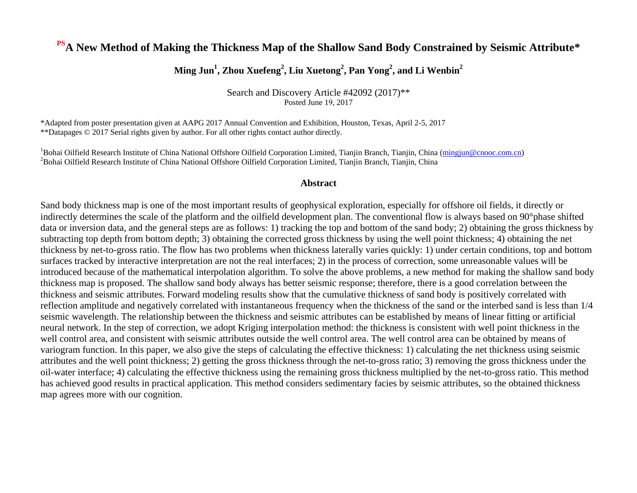#### **PSA New Method of Making the Thickness Map of the Shallow Sand Body Constrained by Seismic Attribute\***

#### **Ming Jun<sup>1</sup> , Zhou Xuefeng<sup>2</sup> , Liu Xuetong<sup>2</sup> , Pan Yong<sup>2</sup> , and Li Wenbin<sup>2</sup>**

Search and Discovery Article #42092 (2017)\*\* Posted June 19, 2017

\*Adapted from poster presentation given at AAPG 2017 Annual Convention and Exhibition, Houston, Texas, April 2-5, 2017 \*\*Datapages © 2017 Serial rights given by author. For all other rights contact author directly.

<sup>1</sup>Bohai Oilfield Research Institute of China National Offshore Oilfield Corporation Limited, Tianjin Branch, Tianjin, China [\(mingjun@cnooc.com.cn\)](mailto:mingjun@cnooc.com.cn) <sup>2</sup>Bohai Oilfield Research Institute of China National Offshore Oilfield Corporation Limited, Tianjin Branch, Tianjin, China

#### **Abstract**

Sand body thickness map is one of the most important results of geophysical exploration, especially for offshore oil fields, it directly or indirectly determines the scale of the platform and the oilfield development plan. The conventional flow is always based on 90°phase shifted data or inversion data, and the general steps are as follows: 1) tracking the top and bottom of the sand body; 2) obtaining the gross thickness by subtracting top depth from bottom depth; 3) obtaining the corrected gross thickness by using the well point thickness; 4) obtaining the net thickness by net-to-gross ratio. The flow has two problems when thickness laterally varies quickly: 1) under certain conditions, top and bottom surfaces tracked by interactive interpretation are not the real interfaces; 2) in the process of correction, some unreasonable values will be introduced because of the mathematical interpolation algorithm. To solve the above problems, a new method for making the shallow sand body thickness map is proposed. The shallow sand body always has better seismic response; therefore, there is a good correlation between the thickness and seismic attributes. Forward modeling results show that the cumulative thickness of sand body is positively correlated with reflection amplitude and negatively correlated with instantaneous frequency when the thickness of the sand or the interbed sand is less than 1/4 seismic wavelength. The relationship between the thickness and seismic attributes can be established by means of linear fitting or artificial neural network. In the step of correction, we adopt Kriging interpolation method: the thickness is consistent with well point thickness in the well control area, and consistent with seismic attributes outside the well control area. The well control area can be obtained by means of variogram function. In this paper, we also give the steps of calculating the effective thickness: 1) calculating the net thickness using seismic attributes and the well point thickness; 2) getting the gross thickness through the net-to-gross ratio; 3) removing the gross thickness under the oil-water interface; 4) calculating the effective thickness using the remaining gross thickness multiplied by the net-to-gross ratio. This method has achieved good results in practical application. This method considers sedimentary facies by seismic attributes, so the obtained thickness map agrees more with our cognition.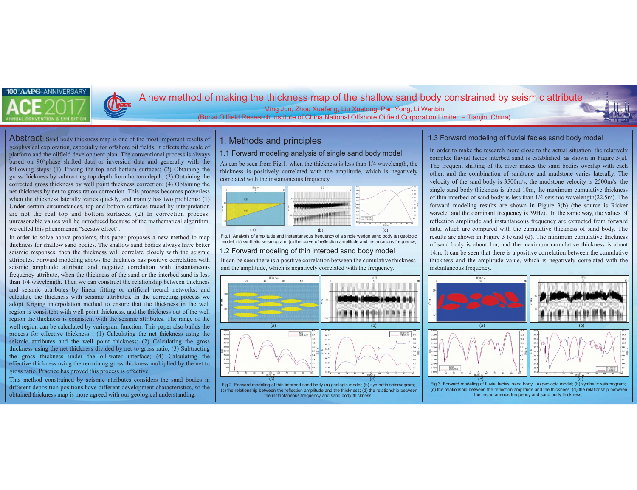## 1. Methods and principles

## 1.1 Forward modeling analysis of single sand body model

Fig.1 Analysis of amplitude and instantaneous frequency of a single wedge sand body (a) geologic model; (b) synthetic seismogram; (c) the curve of reflection amplitude and instantanous frequency;

As can be seen from Fig.1, when the thickness is less than 1/4 wavelength, the thickness is positively correlated with the amplitude, which is negatively correlated with the instantaneous frequency.

## 1.2 Forward modeling of thin interbed sand body model

 (c) the relationship between the reflection amplitude and the thickness; (d) the relationship between the instantaneous frequency and sand body thickness;



It can be seen there is a positive correlation between the cumulative thickness and the amplitude, which is negatively correlated with the frequency.

> (c) the relationship between the reflection amplitude and the thickness; (d) the relationship between the instantaneous frequency and sand body thickness;

Abstract: Sand body thickness map is one of the most important results of geophysical exploration, especially for offshore oil fields, it effects the scale of platform and the oilfield development plan. The conventional process is always based on 90° phase shifted data or inversion data and generally with the following steps: (1) Tracing the top and bottom surfaces; (2) Obtaining the gross thickness by subtracting top depth from bottom depth; (3) Obtaining the corrected gross thickness by well point thickness correction; (4) Obtaining the net thickness by net to gross ration correction. This process becomes powerless when the thickness laterally varies quickly, and mainly has two problems: (1) Under certain circumstances, top and bottom surfaces traced by interpretation are not the real top and bottom surfaces. (2) In correction process, unreasonable values will be introduced because of the mathematical algorithm, we called this phenomenon "seesaw effect".





# A new method of making the thickness map of the shallow sand body constrained by seismic attribute

Ming Jun, Zhou Xuefeng, Liu Xuetong, Pan Yong, Li Wenbin (Bohai Oilfield Research Institute of China National Offshore Oilfield Corporation Limited - Tianjin, China)



In order to solve above problems, this paper proposes a new method to map thickness for shallow sand bodies. The shallow sand bodies always have better seismic responses, then the thickness will correlate closely with the seismic attributes. Forward modeling shows the thickness has positive correlation with seismic amplitude attribute and negative correlation with instantaneous frequency attribute, when the thickness of the sand or the interbed sand is less than 1/4 wavelength. Then we can construct the relationship between thickness and seismic attributes by linear fitting or artificial neural networks, and calculate the thickness with seismic attributes. In the correcting process we adopt Kriging interpolation method to ensure that the thickness in the well region is consistent with well point thickness, and the thickness out of the well region the thickness is consistent with the seismic attributes. The range of the well region can be calculated by variogram function. This paper also builds the process for effective thickness : (1) Calculating the net thickness using the seismic attributes and the well point thickness; (2) Calculating the gross thickness using the net thickness divided by net to gross ratio; (3) Subtracting the gross thickness under the oil-water interface; (4) Calculating the effective thickness using the remaining gross thickness multiplied by the net to gross ratio. Practice has proved this process is effective.

This method constrained by seismic attributes considers the sand bodies in different deposition positions have different development characteristics, so the obtained thickness map is more agreed with our geological understanding.

In order to make the research more close to the actual situation, the relatively complex fluvial facies interbed sand is established, as shown in Figure 3(a). The frequent shifting of the river makes the sand bodies overlap with each other, and the combination of sandtone and mudstone varies laterally. The velocity of the sand body is 3500m/s, the mudstone velocity is 2500m/s, the single sand body thickness is about 10m, the maximum cumulative thickness of thin interbed of sand body is less than 1/4 seismic wavelength(22.5m). The forward modeling results are shown in Figure 3(b) (the source is Ricker wavelet and the dominant frequency is 39Hz). In the same way, the values of reflection amplitude and instantaneous frequency are extracted from forward data, which are compared with the cumulative thickness of sand body. The results are shown in Figure 3 (c)and (d). The minimum cumulative thickness of sand body is about 1m, and the maximum cumulative thickness is about 14m. It can be seen that there is a positive correlation between the cumulative thickness and the amplitude value, which is negatively correlated with the instantaneous frequency.

#### 1.3 Forward modeling of fluvial facies sand body model

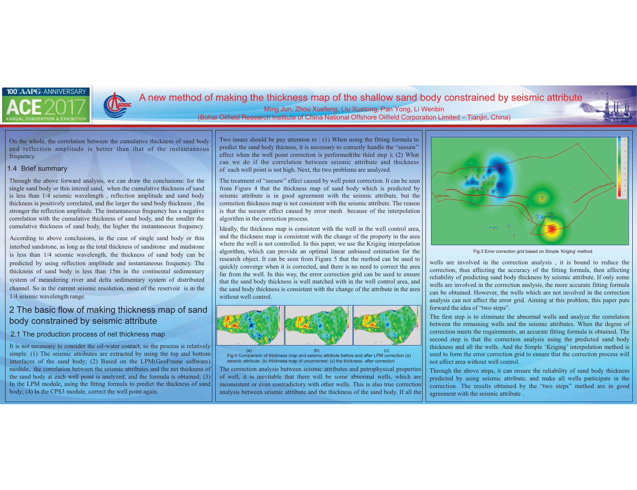## 1.4 Brief summary

Through the above forward analysis, we can draw the conclusions: for the single sand body or thin intered sand, when the cumulative thickness of sand is less than 1/4 seismic wavelength , reflection amplitude and sand body thickness is positively correlated, and the larger the sand body thickness , the stronger the reflection amplitude. The instantaneous frequency has a negative correlation with the cumulative thickness of sand body, and the smaller the cumulative thickness of sand body, the higher the instantaneous frequency.

According to above conclusions, in the case of single sand body or thin interbed sandstone, as long as the total thickness of sandstone and mudstone is less than 1/4 seismic wavelength, the thickness of sand body can be predicted by using reflection amplitude and instantaneous frequency. The thickness of sand body is less than 15m in the continental sedimentary system of meandering river and delta sedimentary system of distributed channel. So in the current seismic resolution, most of the reservoir is in the 1/4 seismic wavelength range.

## 2 The basic flow of making thickness map of sand body constrained by seismic attribute

## 2.1 The production process of net thickness map

It is not necessary to consider the oil-water contact, so the process is relatively simple. (1) The seismic attributes are extracted by using the top and bottom interfaces of the sand body; (2) Based on the LPM(GeoFrame software) module, the correlation between the seismic attributes and the net thickness of the sand body at each well point is analyzed, and the formula is obtained; (3) In the LPM module, using the fitting formula to predict the thickness of sand body; (4) In the CPS3 module, correct the well point again.



The treatment of "seesaw" effect caused by well point correction. It can be seen from Figure 4 that the thickness map of sand body which is predicted by seismic attribute is in good agreement with the seismic attribute, but the correction thickness map is not consistent with the seismic attribute. The reason is that the seesaw effect caused by error mesh because of the interpolation algorithm in the correction process.

Ideally, the thickness map is consistent with the well in the well control area, and the thickness map is consistent with the change of the property in the area where the well is not controlled. In this paper, we use the Kriging interpolation algorithm, which can provide an optimal linear unbiased estimation for the research object. It can be seen from Figure 5 that the method can be used to quickly converge when it is corrected, and there is no need to correct the area far from the well. In this way, the error correction grid can be used to ensure that the sand body thickness is well matched with in the well control area, and the sand body thickness is consistent with the change of the attribute in the area without well control.

# A new method of making the thickness map of the shallow sand body constrained by seismic attribute

#### Ming Jun, Zhou Xuefeng, Liu Xuetong, Pan Yong, Li Wenbin (Bohai Oilfield Research Institute of China National Offshore Oilfield Corporation Limited - Tianjin, China)



Fig.5 Error correction grid based on Simple 'Kriging' method

wells are involved in the correction analysis , it is bound to reduce the correction, thus affecting the accuracy of the fitting formula, then affecting reliability of predicting sand body thickness by seismic attribute. If only some wells are involved in the correction anslysis, the more accurate fitting formula can be obtained. However, the wells which are not involved in the correction analysis can not affect the error grid. Aiming at this problem, this paper puts forward the idea of "two steps".

The first step is to eliminate the abnormal wells and analyze the correlation between the remaining wells and the seismic attributes. When the degree of correction meets the requirements, an accurate fitting formula is obtained. The second step is that the correction analysis using the predicted sand body thickness and all the wells. And the Simple 'Kriging' interpolation method is used to form the error correction grid to ensure that the correction process will not affect area without well control.





On the whole, the correlation between the cumulative thickness of sand body and reflection amplitude is better than that of the instantaneous frequency.

> Through the above steps, it can ensure the reliability of sand body thickness predicted by using seismic attribute, and make all wells participate in the correction. The results obtained by the "two steps" method are in good agreement with the seismic attribute . The correction analysis between seismic attributes and petrophysical properties of well, it is inevitable that there will be some abnormal wells, which are inconsistent or even contradictory with other wells. This is also true correction analysis between seismic attribute and the thickness of the sand body. If all the

Two issues should be pay attention to : (1) When using the fitting formula to predict the sand body thicness, it is necessary to correctly handle the "seesaw" effect when the well point correction is performed(the third step ); (2) What can we do if the correlation between seismic attribute and thickness of each well point is not high. Next, the two problems are analyzed.